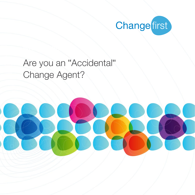

# Are you an "Accidental" Change Agent?

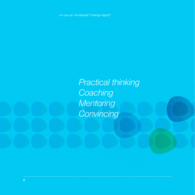Are you an "Accidental" Change Agent?

*Practical thinking Coaching Mentoring Convincing*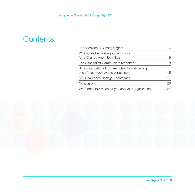# **Contents**

| The "Accidental" Change Agent                                          |    |
|------------------------------------------------------------------------|----|
| What does the typical job description<br>for a Change Agent look like? |    |
|                                                                        |    |
| The Changefirst Community's response                                   |    |
| Strong validation of full time roles, formal training,                 |    |
| use of methodology and experience                                      | 15 |
| Key Challenges Change Agents face                                      | 17 |
| Conclusion                                                             | 23 |
| What does this mean for you and your organisation?                     | 24 |

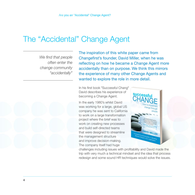## The "Accidental" Change Agent

*We find that people often enter the change community "accidentally"* The inspiration of this white paper came from Changefirst's founder, David Miller, when he was reflecting on how he became a Change Agent more accidentally than on purpose. We think this mirrors the experience of many other Change Agents and wanted to explore the role in more detail.

In his first book "Successful Chang" David describes his experience of becoming a Change Agent.

In the early 1980's whilst David was working for a large, global US company he was sent to California to work on a large transformation project where the brief was to work on creating new processes and build self-directed teams that were designed to streamline the management structure and improve decision-making. The company itself had huge



challenges including issues with profitability and David made the trip with very much a technical mindset and the idea that process redesign and some sound HR techniques would solve the issues.

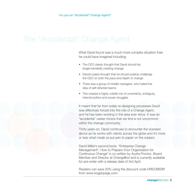What David found was a much more complex situation than he could have imagined including:

- The CEO clearly thought that David should be single-handedly creating change
- David's peers thought that he should publicly challenge the CEO on both the pace and depth of change
- There was a group of middle managers, who hated the idea of self-directed teams
- This created a highly volatile mix of uncertainty, ambiguity, internal politics and power struggles

It meant that far from solely re-designing processes David was effectively forced into the role of a Change Agent, and he has been working in the area ever since. It was an "accidental" career choice that we find is not uncommon within the change community.

Thirty years on, David continues to encounter the scenario above as he works with clients across the globe and it's more or less what made us put pen to paper on the subject.

David Miller's second book, "Enterprise Change Management", How to Prepare Your Organization for Continuous Change" is co-written by Audra Proctor, Board Member and Director at Changefirst and is currently available for pre-order with a release date of 3rd April.

Readers can save 20% using the discount code HRECMEBR from www.koganpage.com.

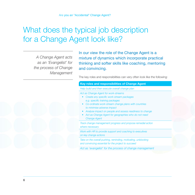# What does the typical job description for a Change Agent look like?

*A Change Agent acts as an 'Evangelist' for the process of Change Management* In our view the role of the Change Agent is a mixture of dynamics which incorporate practical thinking and softer skills like coaching, mentoring and convincing.

The key roles and responsibilities can very often look like the following:

## **Key roles and responsibilities of Change Agent**

*Help build and then execute overall change plan*

*Act as Change Agent for work-streams* 

- *• Create any specific work-stream packages e.g. specific training packages*
- *• Co-ordinate work-stream change plans with countries to minimise adverse impact*
- *• Analyse impact on people and assess readiness to change*
- *• Act as Change Agent for geographies who do not need Change Agent*

*Track change management progress and propose remedial action where necessary*

*Work with HR to provide support and coaching to executives on key change actions*

*Take on the overall pushing, reminding, motivating, unblocking and convincing essential for the project to succeed*

*Act as 'evangelist' for the process of change management*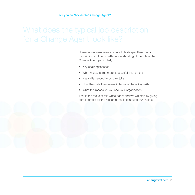However we were keen to look a little deeper than the job description and get a better understanding of the role of the Change Agent particularly:

- • Key challenges faced
- • What makes some more successful than others
- Key skills needed to do their jobs
- How they rate themselves in terms of these key skills
- What this means for you and your organisation

That is the focus of this white paper and we will start by giving some context for the research that is central to our findings.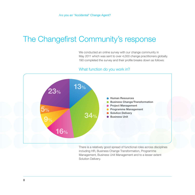# The Changefirst Community's response

We conducted an online survey with our change community in May 2011 which was sent to over 4,000 change practitioners globally. 190 completed the survey and their profile breaks down as follows:

## What function do you work in?



There is a relatively good spread of functional roles across disciplines including HR, Business Change Transformation, Programme Management, Business Unit Management and to a lesser extent Solution Delivery.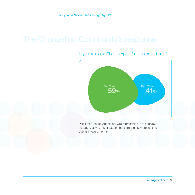

Is your role as a Change Agent full-time or part-time?

Part-time Change Agents are well represented in the survey, although, as you might expect there are slightly more full-time agents in overall terms.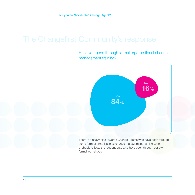Have you gone through formal organisational change management training?



There is a heavy bias towards Change Agents who have been through some form of organisational change management training which probably reflects the respondents who have been through our own formal workshops.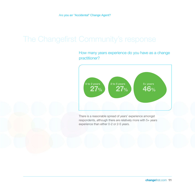How many years experience do you have as a change practitioner?



There is a reasonable spread of years' experience amongst respondents, although there are relatively more with 5+ years experience than either 0-2 or 2-5 years.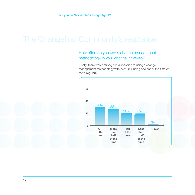## How often do you use a change management methodology in your change initiatives?

Finally, there was a strong pre-disposition to using a change management methodology with over 78% using one half of the time or more regularly.

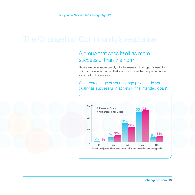## A group that sees itself as more successful than the norm

Before we delve more deeply into the research findings, it's useful to point out one initial finding that stood out more than any other in the early part of the analysis.

What percentage of your change projects do you qualify as successful in achieving the intended goals?



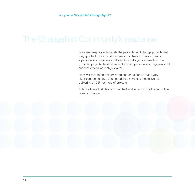We asked respondents to rate the percentage of change projects that they qualified as successful in terms of achieving goals – from both a personal and organisational standpoint. As you can see from the graph on page 14 the differences between personal and organisational success criteria were slight overall.

However the stat that really stood out for us here is that a very significant percentage of respondents, 50%, see themselves as delivering on 75% or more of projects.

This is a figure that clearly bucks the trend in terms of published failure rates on change.

**14**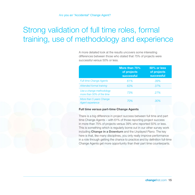# Strong validation of full time roles, formal training, use of methodology and experience

A more detailed look at the results uncovers some interesting differences between those who stated that 75% of projects were successful versus 50% or less.

|                                                       | More than 75%<br>of projects<br><b>successful</b> | 50% or less<br>of projects<br><b>successful</b> |
|-------------------------------------------------------|---------------------------------------------------|-------------------------------------------------|
| <b>Full-time Change Agents</b>                        | 61%                                               | 39%                                             |
| Attended formal training                              | 63%                                               | 37%                                             |
| Use a change methodology<br>more than 50% of the time | 73%                                               | 27%                                             |
| More than 5 years Change<br><b>Agent experience</b>   | 70%                                               | 30%                                             |

## **Full time versus part-time Change Agents**

There is a big difference in project success between full time and part time Change Agents – with 61% of those reporting project success in more than 75% of projects versus 39% who reported 50% or less. This is something which is regularly borne out in our other survey work including **[Change in a Downturn](%20http://www.changefirst.com/sites/default/files/Knowledge%2520Centre/Whitepapers/001_change_in_a_downturn_-_a_snapshot_survey_.pdf)** and the *Unplayed Piano*. The key here is that, like many disciplines, you only really improve performance in a role through getting the chance to practice and by definition full-time Change Agents get more opportunity than their part time counterparts.

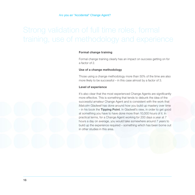## **Formal change training**

Formal change training clearly has an impact on success getting on for a factor of 2.

### **Use of a change methodology**

Those using a change methodology more than 50% of the time are also more likely to be successful – in this case almost by a factor of 3.

### **Level of experience**

It's also clear that the most experienced Change Agents are significantly more effective. This is something that tends to debunk the idea of the successful amateur Change Agent and is consistent with the work that *Malcolm Gladwell* has done around how you build up mastery over time – in his book the **Tipping Point**. In Gladwell's view, in order to get good at something you have to have done more than 10,000 hours of it. In practical terms, for a Change Agent working for 200 days a year at 7 hours a day on average, you would take somewhere around 7 years to build up the experience required – something which has been borne out in other studies in this area.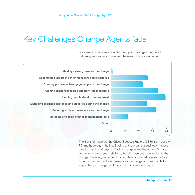# Key Challenges Change Agents face

We asked our sample to identify the top 2 challenges they face in delivering successful change and the results are shown below:



The first 6 of these are the Critical Success Factors (CSFs) from our own PCI methodology – the first 3 being at the organisational level – about creating vision and urgency for the change – and the bottom 3 more tied to local level issues relating to building personal connection to the change. However, we added in a couple of additional relevant factors including securing sufficient resources for change and being able to apply change management tools, methods and techniques.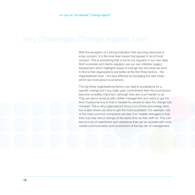With the exception of a strong indication that securing resources is a key concern, it is the local level issues that appear to be of most concern. This is something that is borne out regularly in our own data. Both ourselves and clients regularly use our own Initiative Legacy Assessment which highlights areas of change risk and what we tend to find is that organisations are better at the first three factors – the organisational ones – but less effective at managing the next three – which are more about local factors.

The top three organisational factors can lead to acceptance for a specific change but if you really want commitment then the local factors become incredibly important, although they are much harder to do. They are about working with middle management and users to get the level of personal buy-in that is needed for people to take the change fully onboard. This is why organisations focus a lot of time and energy here, but is also where you tend to get the most pushback. For example, one of the most common complaints we hear from middle managers is that they only hear about change at the same time as their staff do. This can lead to a lot of resentment and resistance that can be avoided with more careful communication and involvement of this key tier of management.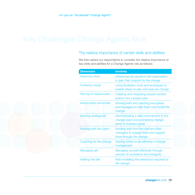## The relative importance of certain skills and abilities

We then asked our respondents to consider the relative importance of key skills and abilities for a Change Agents role as follows:

| <b>Dimension</b>                   | <b>Involves</b>                                                                                           |
|------------------------------------|-----------------------------------------------------------------------------------------------------------|
| Influencing others                 | Influencing key people in the organisation<br>to gain their support for the change                        |
| <b>Facilitating change</b>         | Using facilitation tools and techniques to<br>enable others to plan and execute change                    |
| Planning for implementation        | Collating and integrating people centred<br>actions into a project plan                                   |
| <b>Building active sponsorship</b> | Working with and coaching executives<br>and managers to help them role model the<br>change                |
| <b>Working strategically</b>       | Demonstrating a clear commitment to the<br>change vision and connecting change<br>plans to business goals |
| <b>Working with the users</b>      | Working with front line staff and their<br>managers to engage them and support<br>them through the change |
| Coaching for the change            | Training others to be effective in change<br>management                                                   |
| <b>Managing self</b>               | Managing yourself effectively through<br>periods of uncertainty and ambiguity                             |
| <b>Walking the talk</b>            | Role modelling the behaviours required by<br>the change                                                   |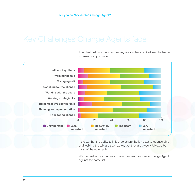

The chart below shows how survey respondents ranked key challenges in terms of importance:

It's clear that the ability to influence others, building active sponsorship and walking the talk are seen as key but they are closely followed by most of the other skills.

We then asked respondents to rate their own skills as a Change Agent against the same list.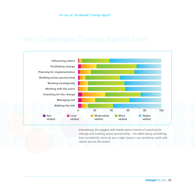

Interestingly the biggest skill needs were in terms of coaching for change and building active sponsorship – the latter being something that consistently turns up as a major issue in our workshop work with clients across the board.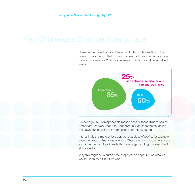However, perhaps the most interesting finding in this section of the research was the fact that in looking at each of the dimensions above we find on average a 25% gap between importance and personal skill levels.



On average 85% of respondents ranked each of these dimensions as "important" or "very important" but only 60% of respondents ranked their own personal skill as "more skilled" or "highly skilled"

Interestingly this more or less applies regardless of profile, for example, even the group of highly experienced Change Agents who regularly use a change methodology identify this type of gap and right across the 9 skill areas too.

Why this might be is outside the scope of this paper but an area we would like to revisit in future work.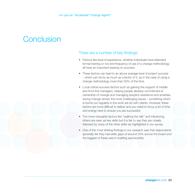## **Conclusion**

## There are a number of key findings:

- Factors like level of experience, whether individuals have attended formal training or not and frequency of use of a change methodology all have an important bearing on success.
- These factors can lead to an above average level of project success – which can be by as much as a factor of 3, as in the case of using a change methodology more than 50% of the time.
- Local critical success factors such as gaining the support of middle and front-line managers, helping people develop commitment & ownership of change and managing people's resistance and anxieties during change remain the most challenging issues – something which is borne out regularly in the work we do with clients. However, these factors are more difficult to deliver and you need to focus a lot of time and energy here to ensure you are successful.
- The more intangible factors like "walking the talk" and influencing others are seen as key skills but it is fair to say they are closely followed by many of the other skills we highlighted in our survey.
- One of the most striking findings in our research was that respondents generally felt they had skills gaps of around 25% across the board and the biggest of these was in building sponsorship.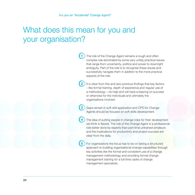# What does this mean for you and your organisation?

**1** The role of the Change Agent remains a tough and often complex role dominated by some very untidy practical issues that range from uncertainty, politics and power to downright ambiguity. Part of the role is to recognise these issues and successfully navigate them in addition to the more practical aspects of the role.

**2** It is clear from this and also previous findings that key factors – like formal training, depth of experience and regular use of a methodology – do help and will have a bearing on success or otherwise for the individuals and ultimately the organisations involved.

**3** Gaps remain in soft skill application and CPD for Change Agents should be focused on soft skills development.

**4** The idea of putting people in change roles for their development we think is flawed. The role of the Change Agent is a professional role better done by experts than part-time untrained amateurs and the implications for productivity and project success are clear from the data.

**5** For organisations the focus has to be on taking a structured approach to building organisational change capabilities through key activities like the formal and consistent use of a change management methodology and providing formal change management training for a full-time cadre of change management specialists.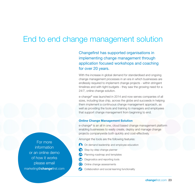## End to end change management solution

Changefirst has supported organisations in implementing change management through application focused workshops and coaching for over 20 years.

With the increase in global demand for standardised and ongoing change management processes in an era in which businesses are endlessly required to implement change projects - within stringent timelines and with tight budgets - they saw the growing need for a 24/7, online change solution.

e-change® was launched in 2014 and now serves companies of all sizes, including blue chip, across the globe and succeeds in helping them implement a continuous change management approach, as well as providing the tools and training to managers and employees that support change management from beginning to end.

## **Online Change Management Solution**

e-change® is an all in one, cloud based change management platform enabling businesses to easily create, deploy and manage change projects companywide both quickly and cost-effectively.

Amongst the tools are the following features:

- On demand leadership and employee education
- Step-by-step change planner
- **8** Planning roadmap and templates
- **(a)** Diagnostics and reporting tools
- **•** Online change assessments
- Collaboration and social learning functionality

For more information or an online demo of how it works please email marketing@**change**first.com